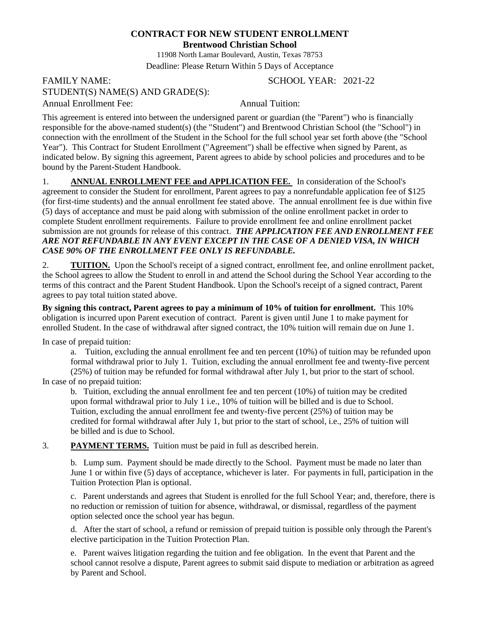## **CONTRACT FOR NEW STUDENT ENROLLMENT**

**Brentwood Christian School**

11908 North Lamar Boulevard, Austin, Texas 78753 Deadline: Please Return Within 5 Days of Acceptance

## FAMILY NAME: SCHOOL YEAR: 2021-22 STUDENT(S) NAME(S) AND GRADE(S):

Annual Enrollment Fee: Annual Tuition:

This agreement is entered into between the undersigned parent or guardian (the "Parent") who is financially responsible for the above-named student(s) (the "Student") and Brentwood Christian School (the "School") in connection with the enrollment of the Student in the School for the full school year set forth above (the "School Year"). This Contract for Student Enrollment ("Agreement") shall be effective when signed by Parent, as indicated below. By signing this agreement, Parent agrees to abide by school policies and procedures and to be bound by the Parent-Student Handbook.

1. **ANNUAL ENROLLMENT FEE and APPLICATION FEE.** In consideration of the School's agreement to consider the Student for enrollment, Parent agrees to pay a nonrefundable application fee of \$125 (for first-time students) and the annual enrollment fee stated above. The annual enrollment fee is due within five (5) days of acceptance and must be paid along with submission of the online enrollment packet in order to complete Student enrollment requirements. Failure to provide enrollment fee and online enrollment packet submission are not grounds for release of this contract. *THE APPLICATION FEE AND ENROLLMENT FEE ARE NOT REFUNDABLE IN ANY EVENT EXCEPT IN THE CASE OF A DENIED VISA, IN WHICH CASE 90% OF THE ENROLLMENT FEE ONLY IS REFUNDABLE.* 

2. **TUITION.** Upon the School's receipt of a signed contract, enrollment fee, and online enrollment packet, the School agrees to allow the Student to enroll in and attend the School during the School Year according to the terms of this contract and the Parent Student Handbook. Upon the School's receipt of a signed contract, Parent agrees to pay total tuition stated above.

**By signing this contract, Parent agrees to pay a minimum of 10% of tuition for enrollment.** This 10% obligation is incurred upon Parent execution of contract. Parent is given until June 1 to make payment for enrolled Student. In the case of withdrawal after signed contract, the 10% tuition will remain due on June 1.

In case of prepaid tuition:

a. Tuition, excluding the annual enrollment fee and ten percent (10%) of tuition may be refunded upon formal withdrawal prior to July 1. Tuition, excluding the annual enrollment fee and twenty-five percent (25%) of tuition may be refunded for formal withdrawal after July 1, but prior to the start of school. In case of no prepaid tuition:

b. Tuition, excluding the annual enrollment fee and ten percent (10%) of tuition may be credited upon formal withdrawal prior to July 1 i.e., 10% of tuition will be billed and is due to School. Tuition, excluding the annual enrollment fee and twenty-five percent (25%) of tuition may be credited for formal withdrawal after July 1, but prior to the start of school, i.e., 25% of tuition will be billed and is due to School.

3. **PAYMENT TERMS.** Tuition must be paid in full as described herein.

b. Lump sum. Payment should be made directly to the School. Payment must be made no later than June 1 or within five (5) days of acceptance, whichever is later. For payments in full, participation in the Tuition Protection Plan is optional.

c. Parent understands and agrees that Student is enrolled for the full School Year; and, therefore, there is no reduction or remission of tuition for absence, withdrawal, or dismissal, regardless of the payment option selected once the school year has begun.

d. After the start of school, a refund or remission of prepaid tuition is possible only through the Parent's elective participation in the Tuition Protection Plan.

e. Parent waives litigation regarding the tuition and fee obligation. In the event that Parent and the school cannot resolve a dispute, Parent agrees to submit said dispute to mediation or arbitration as agreed by Parent and School.